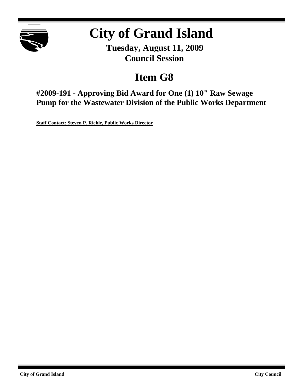

# **City of Grand Island**

**Tuesday, August 11, 2009 Council Session**

## **Item G8**

**#2009-191 - Approving Bid Award for One (1) 10" Raw Sewage Pump for the Wastewater Division of the Public Works Department**

**Staff Contact: Steven P. Riehle, Public Works Director**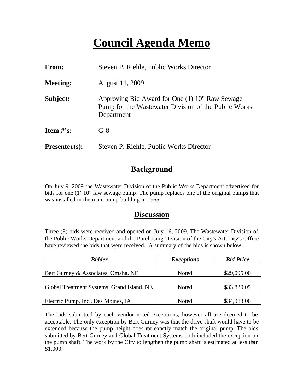## **Council Agenda Memo**

| From:           | Steven P. Riehle, Public Works Director                                                                              |  |
|-----------------|----------------------------------------------------------------------------------------------------------------------|--|
| <b>Meeting:</b> | August 11, 2009                                                                                                      |  |
| Subject:        | Approving Bid Award for One (1) 10" Raw Sewage<br>Pump for the Wastewater Division of the Public Works<br>Department |  |
| Item $\#$ 's:   | $G-8$                                                                                                                |  |
| $Presenter(s):$ | Steven P. Riehle, Public Works Director                                                                              |  |

### **Background**

On July 9, 2009 the Wastewater Division of the Public Works Department advertised for bids for one (1) 10" raw sewage pump. The pump replaces one of the original pumps that was installed in the main pump building in 1965.

### **Discussion**

Three (3) bids were received and opened on July 16, 2009. The Wastewater Division of the Public Works Department and the Purchasing Division of the City's Attorney's Office have reviewed the bids that were received. A summary of the bids is shown below.

| <b>Bidder</b>                              | <i>Exceptions</i> | <b>Bid Price</b> |
|--------------------------------------------|-------------------|------------------|
|                                            |                   |                  |
| Bert Gurney & Associates, Omaha, NE        | Noted             | \$29,095.00      |
|                                            |                   |                  |
| Global Treatment Systems, Grand Island, NE | Noted             | \$33,830.05      |
|                                            |                   |                  |
| Electric Pump, Inc., Des Moines, IA        | Noted             | \$34,983.00      |

The bids submitted by each vendor noted exceptions, however all are deemed to be acceptable. The only exception by Bert Gurney was that the drive shaft would have to be extended because the pump height does not exactly match the original pump. The bids submitted by Bert Gurney and Global Treatment Systems both included the exception on the pump shaft. The work by the City to lengthen the pump shaft is estimated at less than \$1,000.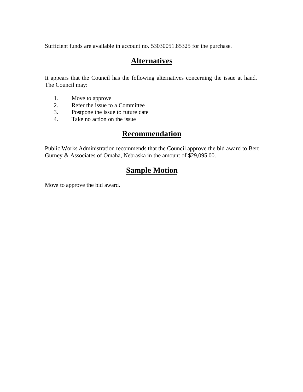Sufficient funds are available in account no. 53030051.85325 for the purchase.

## **Alternatives**

It appears that the Council has the following alternatives concerning the issue at hand. The Council may:

- 1. Move to approve
- 2. Refer the issue to a Committee<br>3. Postpone the issue to future date
- Postpone the issue to future date
- 4. Take no action on the issue

## **Recommendation**

Public Works Administration recommends that the Council approve the bid award to Bert Gurney & Associates of Omaha, Nebraska in the amount of \$29,095.00.

## **Sample Motion**

Move to approve the bid award.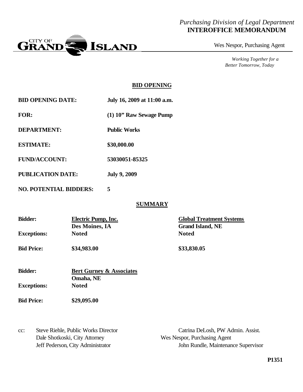#### *Purchasing Division of Legal Department* **INTEROFFICE MEMORANDUM**



Wes Nespor, Purchasing Agent

*Working Together for a Better Tomorrow, Today*

#### **BID OPENING**

| <b>BID OPENING DATE:</b> | July 16, 2009 at 11:00 a.m. |
|--------------------------|-----------------------------|
|                          |                             |

**FOR: (1) 10" Raw Sewage Pump**

**DEPARTMENT: Public Works**

**ESTIMATE: \$30,000.00**

- **FUND/ACCOUNT: 53030051-85325**
- **PUBLICATION DATE: July 9, 2009**
- **NO. POTENTIAL BIDDERS: 5**

#### **SUMMARY**

| <b>Bidder:</b>     | Electric Pump, Inc. | <b>Global Treatment Systems</b> |  |
|--------------------|---------------------|---------------------------------|--|
|                    | Des Moines, IA      | <b>Grand Island, NE</b>         |  |
| <b>Exceptions:</b> | <b>Noted</b>        | <b>Noted</b>                    |  |
| <b>Bid Price:</b>  | \$34,983.00         | \$33,830.05                     |  |

| <b>Bidder:</b>     | <b>Bert Gurney &amp; Associates</b> |  |
|--------------------|-------------------------------------|--|
|                    | Omaha, NE                           |  |
| <b>Exceptions:</b> | <b>Noted</b>                        |  |

**Bid Price: \$29,095.00**

Dale Shotkoski, City Attorney Wes Nespor, Purchasing Agent

cc: Steve Riehle, Public Works Director Catrina DeLosh, PW Admin. Assist. Jeff Pederson, City Administrator John Rundle, Maintenance Supervisor